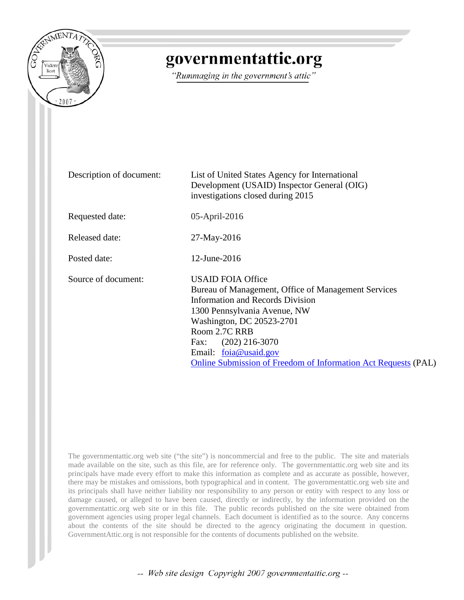

## governmentattic.org

"Rummaging in the government's attic"

| Description of document: | List of United States Agency for International<br>Development (USAID) Inspector General (OIG)<br>investigations closed during 2015                                                                                                                                                                                                     |
|--------------------------|----------------------------------------------------------------------------------------------------------------------------------------------------------------------------------------------------------------------------------------------------------------------------------------------------------------------------------------|
| Requested date:          | 05-April-2016                                                                                                                                                                                                                                                                                                                          |
| Released date:           | 27-May-2016                                                                                                                                                                                                                                                                                                                            |
| Posted date:             | $12$ -June-2016                                                                                                                                                                                                                                                                                                                        |
| Source of document:      | <b>USAID FOIA Office</b><br>Bureau of Management, Office of Management Services<br><b>Information and Records Division</b><br>1300 Pennsylvania Avenue, NW<br>Washington, DC 20523-2701<br>Room 2.7C RRB<br>$(202)$ 216-3070<br>Fax:<br>Email: foia@usaid.gov<br><b>Online Submission of Freedom of Information Act Requests (PAL)</b> |

The governmentattic.org web site ("the site") is noncommercial and free to the public. The site and materials made available on the site, such as this file, are for reference only. The governmentattic.org web site and its principals have made every effort to make this information as complete and as accurate as possible, however, there may be mistakes and omissions, both typographical and in content. The governmentattic.org web site and its principals shall have neither liability nor responsibility to any person or entity with respect to any loss or damage caused, or alleged to have been caused, directly or indirectly, by the information provided on the governmentattic.org web site or in this file. The public records published on the site were obtained from government agencies using proper legal channels. Each document is identified as to the source. Any concerns about the contents of the site should be directed to the agency originating the document in question. GovernmentAttic.org is not responsible for the contents of documents published on the website.

-- Web site design Copyright 2007 governmentattic.org --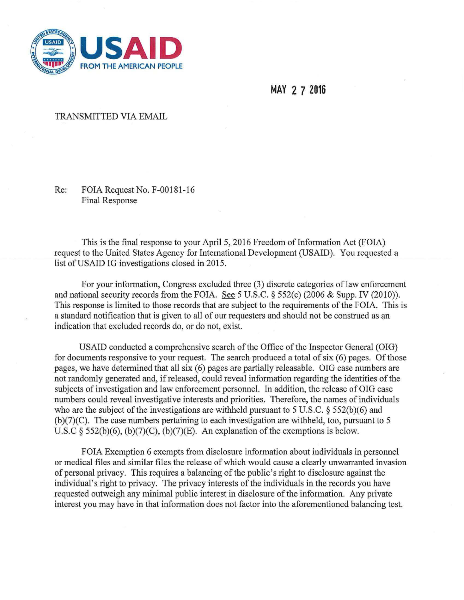

MAY 2 7 2016

## **TRANSMITTED VIA EMAIL**

Re: FOIA Request No. F-00181-16 **Final Response** 

This is the final response to your April 5, 2016 Freedom of Information Act (FOIA) request to the United States Agency for International Development (USAID). You requested a list of USAID IG investigations closed in 2015.

For your information, Congress excluded three (3) discrete categories of law enforcement and national security records from the FOIA. See 5 U.S.C. § 552(c) (2006 & Supp. IV (2010)). This response is limited to those records that are subject to the requirements of the FOIA. This is a standard notification that is given to all of our requesters and should not be construed as an indication that excluded records do, or do not, exist.

USAID conducted a comprehensive search of the Office of the Inspector General (OIG) for documents responsive to your request. The search produced a total of six (6) pages. Of those pages, we have determined that all six (6) pages are partially releasable. OIG case numbers are not randomly generated and, if released, could reveal information regarding the identities of the subjects of investigation and law enforcement personnel. In addition, the release of OIG case numbers could reveal investigative interests and priorities. Therefore, the names of individuals who are the subject of the investigations are withheld pursuant to 5 U.S.C.  $\frac{2552(b)(6)}{200}$  and  $(b)(7)(C)$ . The case numbers pertaining to each investigation are withheld, too, pursuant to 5 U.S.C § 552(b)(6), (b)(7)(C), (b)(7)(E). An explanation of the exemptions is below.

FOIA Exemption 6 exempts from disclosure information about individuals in personnel or medical files and similar files the release of which would cause a clearly unwarranted invasion of personal privacy. This requires a balancing of the public's right to disclosure against the individual's right to privacy. The privacy interests of the individuals in the records you have requested outweigh any minimal public interest in disclosure of the information. Any private interest you may have in that information does not factor into the aforementioned balancing test.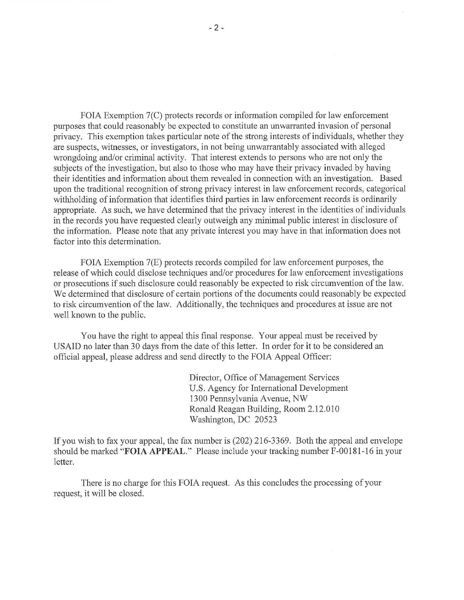FOIA Exemption 7(C) protects records or information compiled for law enforcement purposes that could reasonably be expected to constitute an unwarranted invasion of personal privacy. This exemption takes particular note of the strong interests of individuals, whether they are suspects, witnesses, or investigators, in not being unwarrantably associated with alleged wrongdoing and/or criminal activity. That interest extends to persons who are not only the subjects of the investigation, but also to those who may have their privacy invaded by having their identities and information about them revealed in connection with an investigation. Based upon the traditional recognition of strong privacy interest in law enforcement records, categorical withholding of information that identifies third patties in law enforcement records is ordinarily appropriate. As such, we have determined that the privacy interest in the identities of individuals in the records you have requested clearly outweigh any minimal public interest in disclosure of the information. Please note that any private interest you may have in that information does not factor into this determination.

FOIA Exemption 7(E) protects records compiled for law enforcement purposes, the release of which could disclose techniques and/or procedures for law enforcement investigations or prosecutions if such disclosure could reasonably be expected to risk circumvention of the law. We determined that disclosure of certain portions of the documents could reasonably be expected to risk circumvention of the law. Additionally, the techniques and procedures at issue are not well known to the public.

You have the right to appeal this final response. Your appeal must be received by USAID no later than 30 days from the date of this letter. In order for it to be considered an official appeal, please address and send directly to the FOIA Appeal Officer:

> Director, Office of Management Services U.S. Agency for International Development 1300 Pennsylvania Avenue, NW Ronald Reagan Building, Room 2.12.010 Washington, DC 20523

If you wish to fax your appeal, the fax number is (202) 216-3369. Both the appeal and envelope should be marked **"FOIA APPEAL."** Please include your tracking number F-00181-16 in your letter.

There is no charge for this FOIA request. As this concludes the processing of your request, it will be closed.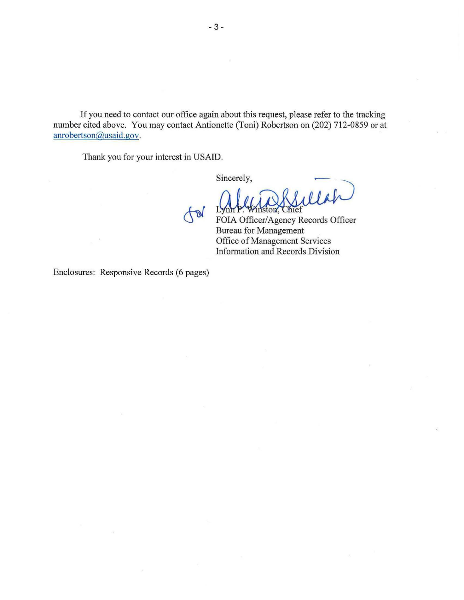If you need to contact our office again about this request, please refer to the tracking number cited above. You may contact Antionette (Toni) Robertson on (202) 712-0859 or at anrobertson@usaid.gov.

TDV

Thank you for your interest in USAID.

Sincerely,

iston.

Eylin 1: Whiston, Cinci<br>FOIA Officer/Agency Records Officer Bureau for Management Office of Management Services Information and Records Division

Enclosures: Responsive Records (6 pages)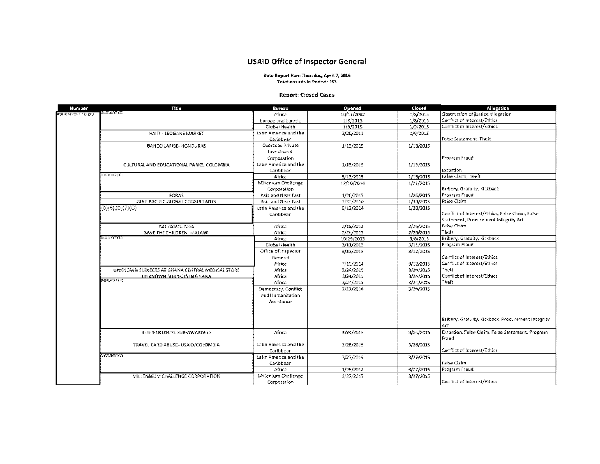## **USAID Office of Inspector General**

Date Report Run: Thursday, April 7, 2016 Total records in Period: 163

## **Report: Closed Cases**

| Number               | Title                                            | Bureau                | Opened     | Closed    | Allegation                                         |
|----------------------|--------------------------------------------------|-----------------------|------------|-----------|----------------------------------------------------|
| 16X04b)7XE).(b)(F(E) | (BXGMPX1XC)                                      | Africa                | 10/11/2012 | 1/8/2015  | Obstruction of justice allegation                  |
|                      |                                                  | Europe and Eurasia    | 1/8/2015   | 1/8/2015  | Conflict of Interest/Ethics                        |
|                      |                                                  | Global Health         | 1/9/2015   | 1/9/2015  | Conflict of Interest/Ethics                        |
|                      | HAITI - LEOGANE MARKET                           | Latin America and the | 7/20/2011  | 1/9/2015  |                                                    |
|                      |                                                  | Caribbean             |            |           | False Statement. Theft                             |
|                      | <b>BANCO LAFISE- HONDURAS</b>                    | Overseas Private      | 1/13/2015  | 1/13/2015 |                                                    |
|                      |                                                  | Investment            |            |           |                                                    |
|                      |                                                  | Corporation           |            |           | Program Fraudi                                     |
|                      | CULTURAL AND EDUCATIONAL PARKS, COLOMBIA         | Latin America and the | 1/13/2015  | 1/13/2015 |                                                    |
|                      |                                                  | Caribbean             |            |           | Extertion                                          |
|                      | ЪХОИФУРУС)                                       | Africa                | 5/13/2013  | 1/15/2015 | False Claim, Theft                                 |
|                      |                                                  | Millensom Challenge   | 12/10/2014 | 1/21/2015 |                                                    |
|                      |                                                  | Corporation           |            |           | Bribery, Gratuity, Kickback                        |
|                      | FORAS                                            | Asia and Near East    | 1/26/2015  | 1/26/2015 | Program Fraud                                      |
|                      | GULF PACIFIC GLOBAL CONSULTANTS                  | Asia and Near East    | 7/30/2010  | 1/30/2015 | Faise Claim                                        |
|                      | (b)(6),(b)(7)(C)                                 | Latin America and the | 6/13/2014  | 1/30/2015 |                                                    |
|                      |                                                  | Caribbean             |            |           | Conflict of Interest/Ethics, False Claim, False    |
|                      |                                                  |                       |            |           | Statement, Procurement Integrity Act               |
|                      | <b>ABT ASSOCIATES</b>                            | Africa                | 2/19/2013  | 2/26/2015 | Faise Claim                                        |
|                      | SAVE THE CHILDREN- MALAVA                        | Africa                | 2/26/2015  | 2/26/2015 | Theft                                              |
|                      | 000110700)                                       | Africa                | 10/29/2013 | 3/6/2015  | Bribery, Gratuity, Kickback                        |
|                      |                                                  | Giobal Health         | 3/11/2015  | 3/11/2015 | Program Fraud                                      |
|                      |                                                  | Office of Inspector   | 3/12/2015  | 3/12/2015 |                                                    |
|                      |                                                  | General               |            |           | Conflict of Interest/Ethics                        |
|                      |                                                  | Africa                | 7/10/2014  | 3/12/2015 | Conflict of Interest/Ethics                        |
|                      | UNKNOWN SUBJECTS AT GHANA CENTRAL MEDICAL STORE. | Africa                | 3/24/2015  | 3/24/2015 | i⊺heft                                             |
|                      | UNKNOWN SUBJECTS IN GHANA<br>(b)))))(b))710)     | Africa                | 3/24/2015  | 3/24/2015 | Conflict of Interest/Ethics                        |
|                      |                                                  | Africa                | 3/24/2015  | 3/24/2015 | Theft                                              |
|                      |                                                  | Democracy, Conflict   | 7/17/2014  | 3/24/2015 |                                                    |
|                      |                                                  | and Humanitarian      |            |           |                                                    |
|                      |                                                  | Assistance            |            |           |                                                    |
|                      |                                                  |                       |            |           |                                                    |
|                      |                                                  |                       |            |           | Bribery, Gratuity, Kickback, Procurement Integrity |
|                      |                                                  |                       |            |           | ÁCE                                                |
|                      | REGIS-ER LOCAL SUB-AWARDEES                      | Africa                | 3/24/2015  |           | Extortion, False Claim, False Statement. Program   |
|                      |                                                  |                       |            | 3/24/2015 | Fraud                                              |
|                      | TRAVEL CARD ABUSE- USAID/COLOMBIA                | Latin America and the | 3/25/2015  | 3/26/2015 |                                                    |
|                      |                                                  | Caribbean             |            |           | Conflict of Interest/Ethics                        |
|                      | (2) (7) (D) (C) (2)                              | Laten America and the | 3/27/2015  | 3/27/2015 |                                                    |
|                      |                                                  | Caribbean             |            |           | Faise Claim                                        |
|                      |                                                  | Africa                | 1/26/2012  | 3/27/2015 | Frogram Fraud                                      |
|                      | MILLENNIUM CHALLENGE CORPOBATION                 | Millenium Challenge   | 3/27/2015  | 3/27/2015 |                                                    |
|                      |                                                  | Corporation           |            |           | Conflict of interest/Ethics                        |
|                      |                                                  |                       |            |           |                                                    |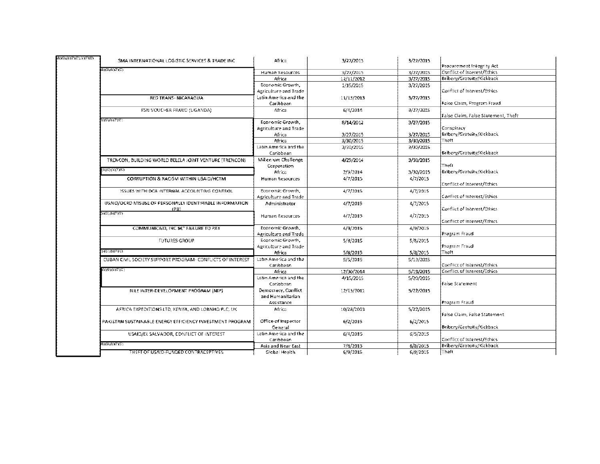| Procurement Integrity Act<br>(TXT(dubxd)<br>Conflict of Interest/Ethics<br>3/27/2015<br>3/27/2015<br>Human Resources<br>Bribery/Gratuity/Kickback<br>3/27/2015<br>Africa<br>12/11/2012<br>Economic Growth,<br>1/15/2015<br>3/27/2015<br>Conflict of Interest/Ethics<br>Agriculture and Trade<br>Latin America and the<br>RED TRANS - NICARAGUA<br>11/15/2013<br>3/27/2015<br>Faise Claim, Program Fraud<br>Caribbean<br>FSN VOUCHER FRAUD (UGANDA)<br>Africa<br>6/4/2014<br>3/27/2015<br>False Claim, False Statement, Theft<br>ЕХОПРУЈАС)<br>Economic Growth,<br>8/14/2012<br>3/27/2015<br>Conspiracy<br>Agriculture and Trade<br>Bribery/Gratuity/Kickback<br>3/27/2015<br>3/27/2015<br>Africa<br>3/30/2015<br>3/30/2015<br>Theft<br>Africa<br>Latin America and the<br>3/30/2015<br>3/30/2015<br>Bribery/Gratuity/Kickback<br>Caribbean<br>Millenrum Challenge<br>TRENCON, BUILDING WORLD BELELA JOINT VENTURE (TRENCON)<br>4/29/2014<br>3/30/2015<br>Theft<br>Corporation<br>8XO),(b)(7XC)<br>Brittery/Gratuity/Kickback<br>Africa<br>2/3/2014<br>3/30/2015<br>CORRUPTION & RACISM WITHIN USA/D/HCTM<br>4/7/2015<br>4/7/2015<br><b>Human Resources</b><br>Conflict of Interest/Ethics<br>Economic Growth,<br>4/7/2015<br>ISSUES WITH OCA INTERNAL ACCOUNTING CONTROL<br>4/7/2015<br>Conflict of Interest/Ethics<br>Agriculture and Trade<br>USAID/OCRD MISUSE OF PERSONALLY IDENTIFIABLE INFORMATION<br>4/7/2015<br>4/7/2015<br>Administrator<br>Conflict of Interest/Ethics<br>4211<br>(3XO) (b) (7XC)<br>4/7/2015<br>4/7/2015<br>Human Resources<br>Conflict of Interest/Ethics<br>Economic Growth,<br>COMMUNICAID, INC & C" FAILURE TO PAY<br>4/9/2015<br>4/9/2015<br>Program Fraud<br>Agriculture and Trade<br>Economic Growth,<br><b>FUTURES GROUP</b><br>5/8/2015<br>5/8/2015<br>Program Fraud<br>Agriculture and Trade<br>DIE),(b),7IG<br>Theft<br>5/8/2015<br>5/8/2015<br>Africa<br>Latin America and the<br>CUBAN CIVIL SOCIETY SUPPORT PROGRAM- CONFUCTS OF INTEREST<br>5/13/2015<br>5/5/2015<br>Conflict of Interest/Ethics<br>Caribbesn<br>ιδχθιχθητής).<br>Conflict of Interest/Ethics<br>12/30/2014<br>Africa<br>5/19/2015<br>Latin America and the<br>4/15/2015<br>5/20/2015<br>Faise Statement<br>Cariobean<br>Democracy, Conflict<br>NILE INTER-DEVELOPMENT PROGRAM (NIP)<br>12/15/2012<br>5/22/2015<br>and Humanitarian<br>Program Fraudi<br>Assistance<br>AFRICA EXPEDITIONS LTD, KENYA, AND LORNHO PLC, UK.<br>Africa<br>10/28/2013<br>5/22/2015<br>Faise Claim, Faise Statement<br>Office of Inspector<br>PAKISTAN SUSTAINABLE ENERGY EFFICIENCY INVESTMENT PROGRAM<br>6/2/2015<br>6/2/2015<br>Bribery/Gratuity/Kickback<br>General<br>Latin America and the<br>6/5/2015<br>USAID/EL SALVADOR, CONFLICT OF INTEREST<br>6/4/2015<br>Conflict of Interest/Ethics<br>Caribbean<br>(JXTADA)<br>Bribery/Gratuity/Kickback<br>7/8/2013<br>Asia and Near East<br>6/8/2015 | <b>GROUPLIET(PLIKE)</b> | SMA INTERNATIONAL LOGISTIC SERVICES & TRADE INC. | Africa        | 3/27/2015 | 3/27/2015 |       |
|---------------------------------------------------------------------------------------------------------------------------------------------------------------------------------------------------------------------------------------------------------------------------------------------------------------------------------------------------------------------------------------------------------------------------------------------------------------------------------------------------------------------------------------------------------------------------------------------------------------------------------------------------------------------------------------------------------------------------------------------------------------------------------------------------------------------------------------------------------------------------------------------------------------------------------------------------------------------------------------------------------------------------------------------------------------------------------------------------------------------------------------------------------------------------------------------------------------------------------------------------------------------------------------------------------------------------------------------------------------------------------------------------------------------------------------------------------------------------------------------------------------------------------------------------------------------------------------------------------------------------------------------------------------------------------------------------------------------------------------------------------------------------------------------------------------------------------------------------------------------------------------------------------------------------------------------------------------------------------------------------------------------------------------------------------------------------------------------------------------------------------------------------------------------------------------------------------------------------------------------------------------------------------------------------------------------------------------------------------------------------------------------------------------------------------------------------------------------------------------------------------------------------------------------------------------------------------------------------------------------------------------------------------------------------------------------------------------------------------------------------------------------------------------------------------------------------------------------------------------------------------------------|-------------------------|--------------------------------------------------|---------------|-----------|-----------|-------|
|                                                                                                                                                                                                                                                                                                                                                                                                                                                                                                                                                                                                                                                                                                                                                                                                                                                                                                                                                                                                                                                                                                                                                                                                                                                                                                                                                                                                                                                                                                                                                                                                                                                                                                                                                                                                                                                                                                                                                                                                                                                                                                                                                                                                                                                                                                                                                                                                                                                                                                                                                                                                                                                                                                                                                                                                                                                                                             |                         |                                                  |               |           |           |       |
|                                                                                                                                                                                                                                                                                                                                                                                                                                                                                                                                                                                                                                                                                                                                                                                                                                                                                                                                                                                                                                                                                                                                                                                                                                                                                                                                                                                                                                                                                                                                                                                                                                                                                                                                                                                                                                                                                                                                                                                                                                                                                                                                                                                                                                                                                                                                                                                                                                                                                                                                                                                                                                                                                                                                                                                                                                                                                             |                         |                                                  |               |           |           |       |
|                                                                                                                                                                                                                                                                                                                                                                                                                                                                                                                                                                                                                                                                                                                                                                                                                                                                                                                                                                                                                                                                                                                                                                                                                                                                                                                                                                                                                                                                                                                                                                                                                                                                                                                                                                                                                                                                                                                                                                                                                                                                                                                                                                                                                                                                                                                                                                                                                                                                                                                                                                                                                                                                                                                                                                                                                                                                                             |                         |                                                  |               |           |           |       |
|                                                                                                                                                                                                                                                                                                                                                                                                                                                                                                                                                                                                                                                                                                                                                                                                                                                                                                                                                                                                                                                                                                                                                                                                                                                                                                                                                                                                                                                                                                                                                                                                                                                                                                                                                                                                                                                                                                                                                                                                                                                                                                                                                                                                                                                                                                                                                                                                                                                                                                                                                                                                                                                                                                                                                                                                                                                                                             |                         |                                                  |               |           |           |       |
|                                                                                                                                                                                                                                                                                                                                                                                                                                                                                                                                                                                                                                                                                                                                                                                                                                                                                                                                                                                                                                                                                                                                                                                                                                                                                                                                                                                                                                                                                                                                                                                                                                                                                                                                                                                                                                                                                                                                                                                                                                                                                                                                                                                                                                                                                                                                                                                                                                                                                                                                                                                                                                                                                                                                                                                                                                                                                             |                         |                                                  |               |           |           |       |
|                                                                                                                                                                                                                                                                                                                                                                                                                                                                                                                                                                                                                                                                                                                                                                                                                                                                                                                                                                                                                                                                                                                                                                                                                                                                                                                                                                                                                                                                                                                                                                                                                                                                                                                                                                                                                                                                                                                                                                                                                                                                                                                                                                                                                                                                                                                                                                                                                                                                                                                                                                                                                                                                                                                                                                                                                                                                                             |                         |                                                  |               |           |           |       |
|                                                                                                                                                                                                                                                                                                                                                                                                                                                                                                                                                                                                                                                                                                                                                                                                                                                                                                                                                                                                                                                                                                                                                                                                                                                                                                                                                                                                                                                                                                                                                                                                                                                                                                                                                                                                                                                                                                                                                                                                                                                                                                                                                                                                                                                                                                                                                                                                                                                                                                                                                                                                                                                                                                                                                                                                                                                                                             |                         |                                                  |               |           |           |       |
|                                                                                                                                                                                                                                                                                                                                                                                                                                                                                                                                                                                                                                                                                                                                                                                                                                                                                                                                                                                                                                                                                                                                                                                                                                                                                                                                                                                                                                                                                                                                                                                                                                                                                                                                                                                                                                                                                                                                                                                                                                                                                                                                                                                                                                                                                                                                                                                                                                                                                                                                                                                                                                                                                                                                                                                                                                                                                             |                         |                                                  |               |           |           |       |
|                                                                                                                                                                                                                                                                                                                                                                                                                                                                                                                                                                                                                                                                                                                                                                                                                                                                                                                                                                                                                                                                                                                                                                                                                                                                                                                                                                                                                                                                                                                                                                                                                                                                                                                                                                                                                                                                                                                                                                                                                                                                                                                                                                                                                                                                                                                                                                                                                                                                                                                                                                                                                                                                                                                                                                                                                                                                                             |                         |                                                  |               |           |           |       |
|                                                                                                                                                                                                                                                                                                                                                                                                                                                                                                                                                                                                                                                                                                                                                                                                                                                                                                                                                                                                                                                                                                                                                                                                                                                                                                                                                                                                                                                                                                                                                                                                                                                                                                                                                                                                                                                                                                                                                                                                                                                                                                                                                                                                                                                                                                                                                                                                                                                                                                                                                                                                                                                                                                                                                                                                                                                                                             |                         |                                                  |               |           |           |       |
|                                                                                                                                                                                                                                                                                                                                                                                                                                                                                                                                                                                                                                                                                                                                                                                                                                                                                                                                                                                                                                                                                                                                                                                                                                                                                                                                                                                                                                                                                                                                                                                                                                                                                                                                                                                                                                                                                                                                                                                                                                                                                                                                                                                                                                                                                                                                                                                                                                                                                                                                                                                                                                                                                                                                                                                                                                                                                             |                         |                                                  |               |           |           |       |
|                                                                                                                                                                                                                                                                                                                                                                                                                                                                                                                                                                                                                                                                                                                                                                                                                                                                                                                                                                                                                                                                                                                                                                                                                                                                                                                                                                                                                                                                                                                                                                                                                                                                                                                                                                                                                                                                                                                                                                                                                                                                                                                                                                                                                                                                                                                                                                                                                                                                                                                                                                                                                                                                                                                                                                                                                                                                                             |                         |                                                  |               |           |           |       |
|                                                                                                                                                                                                                                                                                                                                                                                                                                                                                                                                                                                                                                                                                                                                                                                                                                                                                                                                                                                                                                                                                                                                                                                                                                                                                                                                                                                                                                                                                                                                                                                                                                                                                                                                                                                                                                                                                                                                                                                                                                                                                                                                                                                                                                                                                                                                                                                                                                                                                                                                                                                                                                                                                                                                                                                                                                                                                             |                         |                                                  |               |           |           |       |
|                                                                                                                                                                                                                                                                                                                                                                                                                                                                                                                                                                                                                                                                                                                                                                                                                                                                                                                                                                                                                                                                                                                                                                                                                                                                                                                                                                                                                                                                                                                                                                                                                                                                                                                                                                                                                                                                                                                                                                                                                                                                                                                                                                                                                                                                                                                                                                                                                                                                                                                                                                                                                                                                                                                                                                                                                                                                                             |                         |                                                  |               |           |           |       |
|                                                                                                                                                                                                                                                                                                                                                                                                                                                                                                                                                                                                                                                                                                                                                                                                                                                                                                                                                                                                                                                                                                                                                                                                                                                                                                                                                                                                                                                                                                                                                                                                                                                                                                                                                                                                                                                                                                                                                                                                                                                                                                                                                                                                                                                                                                                                                                                                                                                                                                                                                                                                                                                                                                                                                                                                                                                                                             |                         |                                                  |               |           |           |       |
|                                                                                                                                                                                                                                                                                                                                                                                                                                                                                                                                                                                                                                                                                                                                                                                                                                                                                                                                                                                                                                                                                                                                                                                                                                                                                                                                                                                                                                                                                                                                                                                                                                                                                                                                                                                                                                                                                                                                                                                                                                                                                                                                                                                                                                                                                                                                                                                                                                                                                                                                                                                                                                                                                                                                                                                                                                                                                             |                         |                                                  |               |           |           |       |
|                                                                                                                                                                                                                                                                                                                                                                                                                                                                                                                                                                                                                                                                                                                                                                                                                                                                                                                                                                                                                                                                                                                                                                                                                                                                                                                                                                                                                                                                                                                                                                                                                                                                                                                                                                                                                                                                                                                                                                                                                                                                                                                                                                                                                                                                                                                                                                                                                                                                                                                                                                                                                                                                                                                                                                                                                                                                                             |                         |                                                  |               |           |           |       |
|                                                                                                                                                                                                                                                                                                                                                                                                                                                                                                                                                                                                                                                                                                                                                                                                                                                                                                                                                                                                                                                                                                                                                                                                                                                                                                                                                                                                                                                                                                                                                                                                                                                                                                                                                                                                                                                                                                                                                                                                                                                                                                                                                                                                                                                                                                                                                                                                                                                                                                                                                                                                                                                                                                                                                                                                                                                                                             |                         |                                                  |               |           |           |       |
|                                                                                                                                                                                                                                                                                                                                                                                                                                                                                                                                                                                                                                                                                                                                                                                                                                                                                                                                                                                                                                                                                                                                                                                                                                                                                                                                                                                                                                                                                                                                                                                                                                                                                                                                                                                                                                                                                                                                                                                                                                                                                                                                                                                                                                                                                                                                                                                                                                                                                                                                                                                                                                                                                                                                                                                                                                                                                             |                         |                                                  |               |           |           |       |
|                                                                                                                                                                                                                                                                                                                                                                                                                                                                                                                                                                                                                                                                                                                                                                                                                                                                                                                                                                                                                                                                                                                                                                                                                                                                                                                                                                                                                                                                                                                                                                                                                                                                                                                                                                                                                                                                                                                                                                                                                                                                                                                                                                                                                                                                                                                                                                                                                                                                                                                                                                                                                                                                                                                                                                                                                                                                                             |                         |                                                  |               |           |           |       |
|                                                                                                                                                                                                                                                                                                                                                                                                                                                                                                                                                                                                                                                                                                                                                                                                                                                                                                                                                                                                                                                                                                                                                                                                                                                                                                                                                                                                                                                                                                                                                                                                                                                                                                                                                                                                                                                                                                                                                                                                                                                                                                                                                                                                                                                                                                                                                                                                                                                                                                                                                                                                                                                                                                                                                                                                                                                                                             |                         |                                                  |               |           |           |       |
|                                                                                                                                                                                                                                                                                                                                                                                                                                                                                                                                                                                                                                                                                                                                                                                                                                                                                                                                                                                                                                                                                                                                                                                                                                                                                                                                                                                                                                                                                                                                                                                                                                                                                                                                                                                                                                                                                                                                                                                                                                                                                                                                                                                                                                                                                                                                                                                                                                                                                                                                                                                                                                                                                                                                                                                                                                                                                             |                         |                                                  |               |           |           |       |
|                                                                                                                                                                                                                                                                                                                                                                                                                                                                                                                                                                                                                                                                                                                                                                                                                                                                                                                                                                                                                                                                                                                                                                                                                                                                                                                                                                                                                                                                                                                                                                                                                                                                                                                                                                                                                                                                                                                                                                                                                                                                                                                                                                                                                                                                                                                                                                                                                                                                                                                                                                                                                                                                                                                                                                                                                                                                                             |                         |                                                  |               |           |           |       |
|                                                                                                                                                                                                                                                                                                                                                                                                                                                                                                                                                                                                                                                                                                                                                                                                                                                                                                                                                                                                                                                                                                                                                                                                                                                                                                                                                                                                                                                                                                                                                                                                                                                                                                                                                                                                                                                                                                                                                                                                                                                                                                                                                                                                                                                                                                                                                                                                                                                                                                                                                                                                                                                                                                                                                                                                                                                                                             |                         |                                                  |               |           |           |       |
|                                                                                                                                                                                                                                                                                                                                                                                                                                                                                                                                                                                                                                                                                                                                                                                                                                                                                                                                                                                                                                                                                                                                                                                                                                                                                                                                                                                                                                                                                                                                                                                                                                                                                                                                                                                                                                                                                                                                                                                                                                                                                                                                                                                                                                                                                                                                                                                                                                                                                                                                                                                                                                                                                                                                                                                                                                                                                             |                         |                                                  |               |           |           |       |
|                                                                                                                                                                                                                                                                                                                                                                                                                                                                                                                                                                                                                                                                                                                                                                                                                                                                                                                                                                                                                                                                                                                                                                                                                                                                                                                                                                                                                                                                                                                                                                                                                                                                                                                                                                                                                                                                                                                                                                                                                                                                                                                                                                                                                                                                                                                                                                                                                                                                                                                                                                                                                                                                                                                                                                                                                                                                                             |                         |                                                  |               |           |           |       |
|                                                                                                                                                                                                                                                                                                                                                                                                                                                                                                                                                                                                                                                                                                                                                                                                                                                                                                                                                                                                                                                                                                                                                                                                                                                                                                                                                                                                                                                                                                                                                                                                                                                                                                                                                                                                                                                                                                                                                                                                                                                                                                                                                                                                                                                                                                                                                                                                                                                                                                                                                                                                                                                                                                                                                                                                                                                                                             |                         |                                                  |               |           |           |       |
|                                                                                                                                                                                                                                                                                                                                                                                                                                                                                                                                                                                                                                                                                                                                                                                                                                                                                                                                                                                                                                                                                                                                                                                                                                                                                                                                                                                                                                                                                                                                                                                                                                                                                                                                                                                                                                                                                                                                                                                                                                                                                                                                                                                                                                                                                                                                                                                                                                                                                                                                                                                                                                                                                                                                                                                                                                                                                             |                         |                                                  |               |           |           |       |
|                                                                                                                                                                                                                                                                                                                                                                                                                                                                                                                                                                                                                                                                                                                                                                                                                                                                                                                                                                                                                                                                                                                                                                                                                                                                                                                                                                                                                                                                                                                                                                                                                                                                                                                                                                                                                                                                                                                                                                                                                                                                                                                                                                                                                                                                                                                                                                                                                                                                                                                                                                                                                                                                                                                                                                                                                                                                                             |                         |                                                  |               |           |           |       |
|                                                                                                                                                                                                                                                                                                                                                                                                                                                                                                                                                                                                                                                                                                                                                                                                                                                                                                                                                                                                                                                                                                                                                                                                                                                                                                                                                                                                                                                                                                                                                                                                                                                                                                                                                                                                                                                                                                                                                                                                                                                                                                                                                                                                                                                                                                                                                                                                                                                                                                                                                                                                                                                                                                                                                                                                                                                                                             |                         |                                                  |               |           |           |       |
|                                                                                                                                                                                                                                                                                                                                                                                                                                                                                                                                                                                                                                                                                                                                                                                                                                                                                                                                                                                                                                                                                                                                                                                                                                                                                                                                                                                                                                                                                                                                                                                                                                                                                                                                                                                                                                                                                                                                                                                                                                                                                                                                                                                                                                                                                                                                                                                                                                                                                                                                                                                                                                                                                                                                                                                                                                                                                             |                         |                                                  |               |           |           |       |
|                                                                                                                                                                                                                                                                                                                                                                                                                                                                                                                                                                                                                                                                                                                                                                                                                                                                                                                                                                                                                                                                                                                                                                                                                                                                                                                                                                                                                                                                                                                                                                                                                                                                                                                                                                                                                                                                                                                                                                                                                                                                                                                                                                                                                                                                                                                                                                                                                                                                                                                                                                                                                                                                                                                                                                                                                                                                                             |                         |                                                  |               |           |           |       |
|                                                                                                                                                                                                                                                                                                                                                                                                                                                                                                                                                                                                                                                                                                                                                                                                                                                                                                                                                                                                                                                                                                                                                                                                                                                                                                                                                                                                                                                                                                                                                                                                                                                                                                                                                                                                                                                                                                                                                                                                                                                                                                                                                                                                                                                                                                                                                                                                                                                                                                                                                                                                                                                                                                                                                                                                                                                                                             |                         |                                                  |               |           |           |       |
|                                                                                                                                                                                                                                                                                                                                                                                                                                                                                                                                                                                                                                                                                                                                                                                                                                                                                                                                                                                                                                                                                                                                                                                                                                                                                                                                                                                                                                                                                                                                                                                                                                                                                                                                                                                                                                                                                                                                                                                                                                                                                                                                                                                                                                                                                                                                                                                                                                                                                                                                                                                                                                                                                                                                                                                                                                                                                             |                         |                                                  |               |           |           |       |
|                                                                                                                                                                                                                                                                                                                                                                                                                                                                                                                                                                                                                                                                                                                                                                                                                                                                                                                                                                                                                                                                                                                                                                                                                                                                                                                                                                                                                                                                                                                                                                                                                                                                                                                                                                                                                                                                                                                                                                                                                                                                                                                                                                                                                                                                                                                                                                                                                                                                                                                                                                                                                                                                                                                                                                                                                                                                                             |                         |                                                  |               |           |           |       |
|                                                                                                                                                                                                                                                                                                                                                                                                                                                                                                                                                                                                                                                                                                                                                                                                                                                                                                                                                                                                                                                                                                                                                                                                                                                                                                                                                                                                                                                                                                                                                                                                                                                                                                                                                                                                                                                                                                                                                                                                                                                                                                                                                                                                                                                                                                                                                                                                                                                                                                                                                                                                                                                                                                                                                                                                                                                                                             |                         |                                                  |               |           |           |       |
|                                                                                                                                                                                                                                                                                                                                                                                                                                                                                                                                                                                                                                                                                                                                                                                                                                                                                                                                                                                                                                                                                                                                                                                                                                                                                                                                                                                                                                                                                                                                                                                                                                                                                                                                                                                                                                                                                                                                                                                                                                                                                                                                                                                                                                                                                                                                                                                                                                                                                                                                                                                                                                                                                                                                                                                                                                                                                             |                         |                                                  |               |           |           |       |
|                                                                                                                                                                                                                                                                                                                                                                                                                                                                                                                                                                                                                                                                                                                                                                                                                                                                                                                                                                                                                                                                                                                                                                                                                                                                                                                                                                                                                                                                                                                                                                                                                                                                                                                                                                                                                                                                                                                                                                                                                                                                                                                                                                                                                                                                                                                                                                                                                                                                                                                                                                                                                                                                                                                                                                                                                                                                                             |                         |                                                  |               |           |           |       |
|                                                                                                                                                                                                                                                                                                                                                                                                                                                                                                                                                                                                                                                                                                                                                                                                                                                                                                                                                                                                                                                                                                                                                                                                                                                                                                                                                                                                                                                                                                                                                                                                                                                                                                                                                                                                                                                                                                                                                                                                                                                                                                                                                                                                                                                                                                                                                                                                                                                                                                                                                                                                                                                                                                                                                                                                                                                                                             |                         |                                                  |               |           |           |       |
|                                                                                                                                                                                                                                                                                                                                                                                                                                                                                                                                                                                                                                                                                                                                                                                                                                                                                                                                                                                                                                                                                                                                                                                                                                                                                                                                                                                                                                                                                                                                                                                                                                                                                                                                                                                                                                                                                                                                                                                                                                                                                                                                                                                                                                                                                                                                                                                                                                                                                                                                                                                                                                                                                                                                                                                                                                                                                             |                         |                                                  |               |           |           |       |
|                                                                                                                                                                                                                                                                                                                                                                                                                                                                                                                                                                                                                                                                                                                                                                                                                                                                                                                                                                                                                                                                                                                                                                                                                                                                                                                                                                                                                                                                                                                                                                                                                                                                                                                                                                                                                                                                                                                                                                                                                                                                                                                                                                                                                                                                                                                                                                                                                                                                                                                                                                                                                                                                                                                                                                                                                                                                                             |                         |                                                  |               |           |           |       |
|                                                                                                                                                                                                                                                                                                                                                                                                                                                                                                                                                                                                                                                                                                                                                                                                                                                                                                                                                                                                                                                                                                                                                                                                                                                                                                                                                                                                                                                                                                                                                                                                                                                                                                                                                                                                                                                                                                                                                                                                                                                                                                                                                                                                                                                                                                                                                                                                                                                                                                                                                                                                                                                                                                                                                                                                                                                                                             |                         |                                                  |               |           |           |       |
|                                                                                                                                                                                                                                                                                                                                                                                                                                                                                                                                                                                                                                                                                                                                                                                                                                                                                                                                                                                                                                                                                                                                                                                                                                                                                                                                                                                                                                                                                                                                                                                                                                                                                                                                                                                                                                                                                                                                                                                                                                                                                                                                                                                                                                                                                                                                                                                                                                                                                                                                                                                                                                                                                                                                                                                                                                                                                             |                         |                                                  |               |           |           |       |
|                                                                                                                                                                                                                                                                                                                                                                                                                                                                                                                                                                                                                                                                                                                                                                                                                                                                                                                                                                                                                                                                                                                                                                                                                                                                                                                                                                                                                                                                                                                                                                                                                                                                                                                                                                                                                                                                                                                                                                                                                                                                                                                                                                                                                                                                                                                                                                                                                                                                                                                                                                                                                                                                                                                                                                                                                                                                                             |                         |                                                  |               |           |           |       |
|                                                                                                                                                                                                                                                                                                                                                                                                                                                                                                                                                                                                                                                                                                                                                                                                                                                                                                                                                                                                                                                                                                                                                                                                                                                                                                                                                                                                                                                                                                                                                                                                                                                                                                                                                                                                                                                                                                                                                                                                                                                                                                                                                                                                                                                                                                                                                                                                                                                                                                                                                                                                                                                                                                                                                                                                                                                                                             |                         | THEFT OF USA(D-FUNDED CONTRACEPTIVES             | Giobal Health | 6/9/2015  | 6/9/2015  | Theft |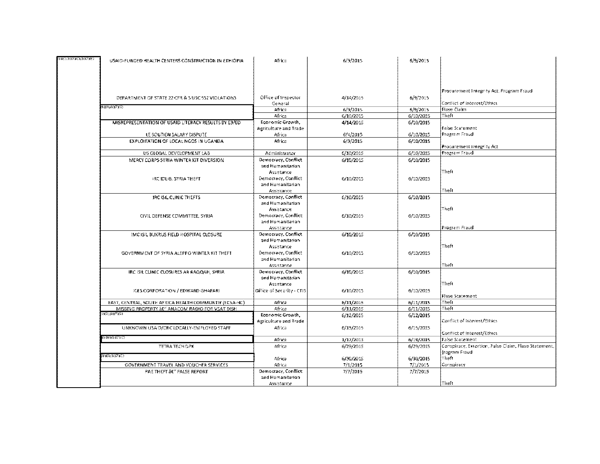| (PRE) (PICARCIARIAS) | USAID-FUNDED HEALTH CENTERS CONSTRUCTION IN ETHIOPIA.           | Africa                            | 6/9/2015  | 6/9/2015  |                                                      |
|----------------------|-----------------------------------------------------------------|-----------------------------------|-----------|-----------|------------------------------------------------------|
|                      |                                                                 |                                   |           |           |                                                      |
|                      |                                                                 |                                   |           |           |                                                      |
|                      |                                                                 |                                   |           |           |                                                      |
|                      |                                                                 |                                   |           |           |                                                      |
|                      |                                                                 |                                   |           |           | Procurement Integrity Act, Program Fraud-            |
|                      | DEPARTMENT OF STATE 22 CFR & 5 USC 552 VIOLATIONS.              | Office of Inspector               | 4/14/2015 | 6/9/2015  | Conflict of Interest/Ethics                          |
|                      | {D}}}}{D}??}`C}                                                 | General<br>Africa                 | 6/9/2015  | 6/9/2015  | <b>Flase Claim</b>                                   |
|                      |                                                                 | Africa                            | 6/10/2015 | 6/10/2015 | Theft                                                |
|                      | MISREPRESENTATION OF USAID LITERACY RESULTS BY E3/E0.           | Economic Growth,                  | 4/14/2015 | 6/10/2015 |                                                      |
|                      |                                                                 | Agriculture and Trade.            |           |           | <b>Faise Statement</b>                               |
|                      | LE SOUTIEN SALARY DISPUTE                                       | Africa                            | 6/4/2015  | 6/10/2015 | Program Fraud                                        |
|                      | EXPLOITATION OF LOCAL NGOS IN UGANDA                            | Africa                            | 6/9/2015  | 6/10/2015 |                                                      |
|                      |                                                                 |                                   |           |           | Procurement Integrity Act                            |
|                      | US GLOBAL DEVELOPMENT LAB                                       | Administrator                     | 6/10/2015 | 6/10/2015 | Program Fraud                                        |
|                      | MERCY CORPS SYRIA WINTER KIT DIVERSION.                         | Democracy, Conflict               | 6/10/2015 | 6/10/2015 |                                                      |
|                      |                                                                 | and Humanitarian                  |           |           |                                                      |
|                      |                                                                 | Assistance                        |           |           | Theft                                                |
|                      | IRC EDLIB, SYRIA THEFT                                          | Democracy, Conflict               | 6/10/2015 | 6/10/2015 |                                                      |
|                      |                                                                 | and Humanitarian                  |           |           |                                                      |
|                      |                                                                 | Assistance                        |           |           | Theft                                                |
|                      | <b>IRC ISIL CLINIC THEFTS</b>                                   | Democracy, Conflict               | 6/10/2015 | 6/10/2015 |                                                      |
|                      |                                                                 | and Humanitarian                  |           |           |                                                      |
|                      |                                                                 | Assistance                        |           |           | Theft                                                |
|                      | CIVIL DEFENSE COMMITTEE, SYRIA                                  | Democracy, Conflict               | 6/10/2015 | 6/10/2015 |                                                      |
|                      |                                                                 | and Humanitarian                  |           |           |                                                      |
|                      |                                                                 | Assistance<br>Democracy, Conflict | 6/10/2015 |           | Program Fraudi                                       |
|                      | IMC ISIL BUKRUS FIELD HOSPITAL CLOSURE                          | and Humanitarian                  |           | 6/10/2015 |                                                      |
|                      |                                                                 | Assistance                        |           |           | Theft                                                |
|                      | GOVERNMENT OF SYRIA ALEPPO WINTER KIT THEFT                     | Democracy, Conflict               | 6/10/2015 | 6/10/2015 |                                                      |
|                      |                                                                 | and Humanitarian                  |           |           |                                                      |
|                      |                                                                 | Assistance                        |           |           | Theft                                                |
|                      | IRC ISH CUNIC CLOSURES AR RAQQAH, SYRIA                         | Democracy, Conflict               | 6/10/2015 | 6/10/2015 |                                                      |
|                      |                                                                 | and Humanitarian                  |           |           |                                                      |
|                      |                                                                 | Assistance                        |           |           | Theft                                                |
|                      | <b>ICES CORPORATION / EDWARD GHAFARI</b>                        | <b>Office of Security - CTIS</b>  | 6/10/2015 | 6/10/2015 |                                                      |
|                      |                                                                 |                                   |           |           | Flase Statement                                      |
|                      | EAST, CENTRAL, SOUTH AFRICA HEALTH COMMUNITY (ECSA-HC).         | Africa                            | 6/11/2015 | 6/11/2015 | Theft                                                |
|                      | MISSING PROPERTY &E" ANACOM RADIO FOR VSATIDISH<br>0X91.(DI7XX) | Africa                            | 6/11/2015 | 6/11/2015 | ⊺heft                                                |
|                      |                                                                 | Economic Growth,                  | 6/12/2015 | 6/12/2015 |                                                      |
|                      |                                                                 | Agriculture and Trade.            |           |           | Conflict of Interest/Ethics                          |
|                      | UNKNOWN USAID/ORC LOCALLY-EMPLOYED STAFF                        | Africa                            | 6/15/2015 | 6/15/2015 |                                                      |
|                      | (d) 1710) (G)                                                   | Africa                            | 1/17/2013 | 6/19/2015 | Conflict of Interest/Ethics<br>False Statement       |
|                      | TETRA TECH DPK                                                  | Africa                            | 6/29/2015 | 6/29/2015 | Conspiracy, Extortion, False Claim, Flase Statement, |
|                      |                                                                 |                                   |           |           | frogram Fraud                                        |
|                      | idiO1(b)7YC)                                                    | Africa                            | 6/30/2015 | 6/30/2015 | Theft                                                |
|                      | GOVERNMENT TRAVEL AND VOUCHER SERVICES.                         | Africa                            | 7/1/2015  | 7/1/2015  | Соперігасу                                           |
|                      | PAE THEFT BE" FALSE BEPORT                                      | Democracy, Conflict               | 7/7/2015  | 7/7/2015  |                                                      |
|                      |                                                                 | and Humanitarian                  |           |           |                                                      |
|                      |                                                                 | Assistance                        |           |           | Theft                                                |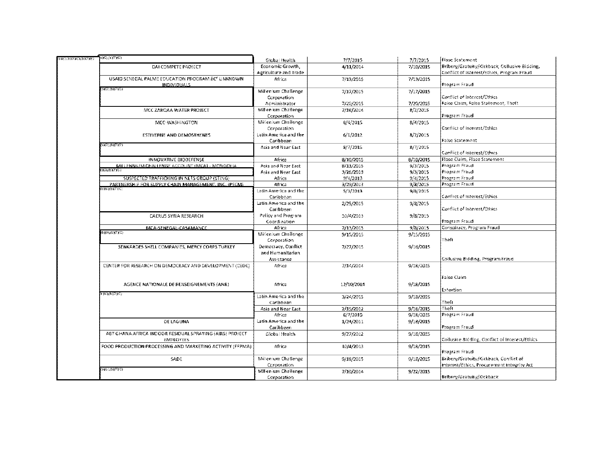| (PRE)'(P)( <u>\)</u> LEUP)(S,XE) | $9\lambda\odot (9)\lambda_2\lambda\odot)$                                 | Global Health         | 7/7/2015   | 7/7/2015  | <b>Flase Statement</b>                         |
|----------------------------------|---------------------------------------------------------------------------|-----------------------|------------|-----------|------------------------------------------------|
|                                  | DAI COMPETE PROJECT                                                       | Economic Growth,      | 4/11/2014  | 7/10/2015 | Bribery/Gratuity/Kickback, Collusive Bidding,  |
|                                  |                                                                           | Agriculture and Trade |            |           | Conflict of Interest/Ethics. Program Fraud     |
|                                  | USAID SENEGAL PALME EDUCATION PROGRAM BE" UNKNOWN<br><b>INDIVIDUALS</b>   | Africa                | 7/13/2015  | 7/13/2015 | Program Fraud                                  |
|                                  | 8XO.(b)(7XC)                                                              | Millenium Challenge   | 7/17/2015  | 7/17/2015 |                                                |
|                                  |                                                                           | Corporation           |            |           | Conflict of Interest/Ethics                    |
|                                  |                                                                           | Administrator         | 7/20/2015  | 7/20/2015 | False Claim, False Statement, Theft            |
|                                  | MCC ZARQAA WATER PROJECT                                                  | Millenium Challenge   | 7/16/2014  | 8/3/2015  |                                                |
|                                  |                                                                           | Corporation           |            |           | Program Fraudi                                 |
|                                  | MCC-WASHINGTON                                                            | Millenium Challenge   | 8/4/2015   | 8/4/2015  |                                                |
|                                  |                                                                           | Corporation           |            |           | Conflict of interest/Ethics                    |
|                                  | ESTIVERNE AND DEMOSTHENES.                                                | Latin America and the | 6/1/2012   | 8/7/2015  |                                                |
|                                  |                                                                           | Caribbean             |            |           | l False Statement.                             |
|                                  | 8XO) (b) (FXC)                                                            | Asia and Near East    | 8/7/2015   | 8/7/2015  |                                                |
|                                  |                                                                           |                       |            |           | Conflict of Interest/Ethics                    |
|                                  | INNOVATIVE BIODEFENSE                                                     | Africa                | 8/10/2015  | 8/10/2015 | Flase Claim, Flase Statement                   |
|                                  | MILLENNIUM CHALLENGE ACCOUNT (MICAL - MONGOLIA                            | Asia and Near East    | 8/13/2015  | 9/3/2015  | Program Fraud                                  |
|                                  |                                                                           | Asia and Near East    | 3/26/2013  | 9/3/2015  | Program Fraudi                                 |
|                                  |                                                                           |                       |            | 9/4/2015  | Program Fraud                                  |
|                                  | SUSPECTED TRAFFICKING IN NETS GROUP (STING)                               | Africa                | 9/4/2013   |           | Program Fraud                                  |
|                                  | PARTNERSHIP FOR SUPPLY CHAIN MANAGEMENT. INC. (PSCM)<br>b 101, (b) 77 (C) | Africa                | 3/29/2013  | 9/8/2015  |                                                |
|                                  |                                                                           | Latin America and the | 5/3/2013   | 9/8/2015  | Conflict of Interest/Ethics                    |
|                                  |                                                                           | Caribbean             |            |           |                                                |
|                                  |                                                                           | Latin America and the | 2/25/2015  | 9/8/2015  |                                                |
|                                  |                                                                           | Caribbean             |            |           | Conflict of Interest/Ethics                    |
|                                  | CAERUS SYRIA RESEARCH                                                     | Policy and Program    | 10/4/2013  | 9/8/2015  |                                                |
|                                  |                                                                           | Coordination          |            |           | Program Fraud                                  |
|                                  | MCA-SENEGAL-CASAMANCE<br><b>DIGITAL</b>                                   | Africa                | 7/13/2015  | 9/8/2015  | Conspiracy, Program Fraud                      |
|                                  |                                                                           | Millenium Challenge   | 9/15/2015  | 9/15/2015 |                                                |
|                                  |                                                                           | Corporation           |            |           | i⊤heft.                                        |
|                                  | SENKARDES SHELL COMPANIES, MERCY CORPS TURKEY                             | Democracy, Conflict   | 7/27/2015  | 9/16/2015 |                                                |
|                                  |                                                                           | and Humanitarian      |            |           |                                                |
|                                  |                                                                           | Assistance            |            |           | Coffusive Bidding, Program Fraud               |
|                                  | CENTER FOR RESEARCH ON DEMOCRACY AND DEVELOPMENT (CEDE)                   | Africa                | 7/14/2014  | 9/18/2015 |                                                |
|                                  |                                                                           |                       |            |           | Faise Claim                                    |
|                                  | AGENCE NATIONALE DE RENSEIGNEMENTS (ANR)                                  | Africa                | 12/10/2014 | 9/18/2015 |                                                |
|                                  |                                                                           |                       |            |           | Extortion                                      |
|                                  | ՒքՖՆՓՆՉՋԸՆ                                                                | Latin America and the | 3/24/2015  | 9/18/2015 |                                                |
|                                  |                                                                           | Caribbean             |            |           | Theit                                          |
|                                  |                                                                           | Asia and Near East    | 2/15/2012  | 9/18/2015 | Theft                                          |
|                                  |                                                                           | Africa                | 6/7/2010   | 9/18/2015 | Program Fraud                                  |
|                                  | DE LAGUNA                                                                 | Latin America and the | 1/24/2011  | 9/18/2015 |                                                |
|                                  |                                                                           | Caribbean             |            |           | Program Fraud                                  |
|                                  | ABT GHANA AFRICA INDOOR RESIDUAL SPRAYING (AIRS) PROJECT.                 | Glebai Health         | 9/27/2012  | 9/18/2015 |                                                |
|                                  | <b>EMPLOYEES</b>                                                          |                       |            |           | Collusice Bidding, Conflict of Interest/Ethics |
|                                  | FOOD PRODUCTION PROCESSING AND MARKETING ACTIVITY (FFPMA).                | Africa                | 10/4/2013  | 9/18/2015 | Program Fraud                                  |
|                                  |                                                                           | Millenium Challenge   |            |           | Bribery/Grateity/Kickback, Conflict of         |
|                                  | <b>SADE</b>                                                               |                       | 9/18/2015  | 9/18/2015 |                                                |
|                                  | 616),(b),(FfC)                                                            | Corporation           |            |           | Interest/Ethics, Procurement Integrity Act     |
|                                  |                                                                           | Millenium Challenge   | 7/10/2014  | 9/22/2015 |                                                |
|                                  |                                                                           | Corporation           |            |           | Bribery/Gratuity/Kickback                      |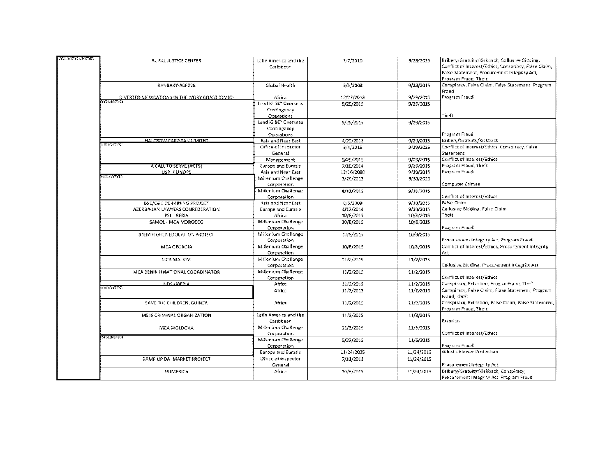| (9X0)[D)(7XC)(D)(7XE) | RURAL JUSTICE CENTER                            | Latin America and the<br>Caribbean | 7/7/2010   | 9/28/2015  | Bribery/Gratuity/Kickback, Collusive Bidding,<br>Conflict of Interest/Ethics, Conspriacy, False Claim,<br>False Statement, Procurement Integrity Act,<br>Program Fruad, Theft |
|-----------------------|-------------------------------------------------|------------------------------------|------------|------------|-------------------------------------------------------------------------------------------------------------------------------------------------------------------------------|
|                       | RANBAXY-A06028                                  | Global Health                      | 3/5/2008   | 9/29/2015  | Conspiracy, Faise Claim, False Statement, Program<br>Fraud                                                                                                                    |
|                       | OIVERTED MEDICATIONS IN THE IMORY COAST (OMIC). | Africa                             | 12/27/2013 | 9/29/2015  | Program Fraudi                                                                                                                                                                |
|                       | <b>OFEMOTION</b>                                | Lead IG &C" Overseas               | 9/29/2015  | 9/29/2015  |                                                                                                                                                                               |
|                       |                                                 | Contingency                        |            |            |                                                                                                                                                                               |
|                       |                                                 | Operations                         |            |            | Theft                                                                                                                                                                         |
|                       |                                                 | Lead iG SE" Overseas               | 9/29/2015  | 9/29/2015  |                                                                                                                                                                               |
|                       |                                                 | Contingency                        |            |            |                                                                                                                                                                               |
|                       |                                                 | Operations                         |            |            | Program Fraud                                                                                                                                                                 |
|                       | HALCROW PARISTAN LIMITED                        | Asia and Near East                 | 4/29/2013  | 9/29/2015  | Bribery/Gratuity/Kickback                                                                                                                                                     |
|                       | ъ⊕) (Ե)7 (€)                                    | Office of Inspector                | 3/4/2015   | 9/29/2015  | Conflict of interest/Ethics, Conspiracy, False                                                                                                                                |
|                       |                                                 | General                            |            |            | Statement                                                                                                                                                                     |
|                       |                                                 | Management                         | 9/29/2015  | 9/29/2015  | Conflict of Interest/Ethics                                                                                                                                                   |
|                       | A CALL TO SERVE (ACTS).                         | Europe and Eurosia                 | 7/10/2014  | 9/29/2015  | Program Fraud, Theft                                                                                                                                                          |
|                       | USPI / UNOPS                                    | Asia and Near East                 | 12/16/2010 | 9/30/2015  | Program Fraud                                                                                                                                                                 |
|                       | 0)@ (b)7)@)                                     | Millenium Challenge                | 3/26/2013  | 9/30/2015  |                                                                                                                                                                               |
|                       |                                                 | Corporation                        |            |            | Computer Crimes                                                                                                                                                               |
|                       |                                                 | Millenium Challenge                | 8/13/2015  | 9/30/2015  |                                                                                                                                                                               |
|                       |                                                 | Corporation                        |            |            | Conflict of Interest/Ethics                                                                                                                                                   |
|                       | BSC/C&C DE-MINING PROJECT                       | Asia and Near East                 | 8/5/2009   | 9/30/2015  | Faise Claim                                                                                                                                                                   |
|                       | AZERBAHAN LAWYERS CONFEDERATION                 | Europe and Eurasia                 | 4/17/2014  | 9/30/2015  | Collusive Bidding, False Claim                                                                                                                                                |
|                       | PSI LIBERIA                                     | Africa                             | 10/8/2015  | 10/8/2015  | Theft                                                                                                                                                                         |
|                       | SAMOL - MCA MORGEED                             | Millenium Challenge                | 10/8/2015  | 10/8/2015  |                                                                                                                                                                               |
|                       |                                                 | Corporation                        |            |            | Program Fraud                                                                                                                                                                 |
|                       | STEM HIGHER EDUCATION PROJECT                   | Millenium Challenge                | 10/8/2015  | 10/8/2015  |                                                                                                                                                                               |
|                       |                                                 | Corporation                        |            |            | Procurement Integrity Act, Program Fraud                                                                                                                                      |
|                       | <b>MCA GEORGIA</b>                              | Millenium Challenge                | 10/8/2015  | 10/8/2015  | Conflict of Interest/Ethics, Procurement Integrity.                                                                                                                           |
|                       |                                                 | Corporation                        |            |            | Act                                                                                                                                                                           |
|                       | MCA MALAWI                                      | Millenium Challenge                | 11/2/2015  | 11/2/2015  |                                                                                                                                                                               |
|                       |                                                 | Cerporation                        |            |            | Collusive Bidding, Procurement integrity Act                                                                                                                                  |
|                       | MCA BENIN HINATIONAL COORDINATOR.               | Millenrum Challenge                | 11/2/2015  | 11/2/2015  |                                                                                                                                                                               |
|                       |                                                 | Corporation                        |            |            | Conflict of Interest/Ethics                                                                                                                                                   |
|                       | <b>NDSTRERIA</b><br><b>FIOLITIC:</b>            | Africa                             | 11/2/2015  | 11/2/2015  | Conspiracy, Extertion, Program Fraud, Theft                                                                                                                                   |
|                       |                                                 | Africa                             | 11/2/2015  | 11/2/2015  | Conspiracy, False Claim, Flase Statement, Program.                                                                                                                            |
|                       |                                                 |                                    |            |            | Fraud, Theft                                                                                                                                                                  |
|                       | SAVE THE CHILDREN, GUINEA                       | Africa                             | 11/2/2015  | 11/2/2015  | Conspiracy, Extertion, False Claim, False Statement,  <br>Program Fraud, Theft                                                                                                |
|                       | M518 CRIMINAL ORGANIZATION                      | Latin America and the              | 11/3/2015  | 11/3/2015  |                                                                                                                                                                               |
|                       |                                                 | Caribbean                          |            |            | Exterion                                                                                                                                                                      |
|                       | MCA MOLDOVA                                     | Millenium Challenge                | 11/3/2015  | 11/3/2015  |                                                                                                                                                                               |
|                       |                                                 | Corporation                        |            |            | Conflict of Interest/Ethics                                                                                                                                                   |
|                       | 3390.617 (C)                                    | Millenrum Challenge                | 5/27/2015  | 11/6/2015  |                                                                                                                                                                               |
|                       |                                                 | Corporation                        |            |            | Program Fraud                                                                                                                                                                 |
|                       |                                                 | Europe and Eurosia                 | 11/24/2015 | 11/24/2015 | Whistieblower Protection                                                                                                                                                      |
|                       | RAMP UP DAI MARKET PROJECT                      | Office of Inspector                | 7/11/2013  | 11/24/2015 |                                                                                                                                                                               |
|                       |                                                 | General                            |            |            | Procurement Integrity Act                                                                                                                                                     |
|                       | NUMERICA                                        | Africa                             | 10/2/2015  | 11/24/2015 | Bribery/Gratuity/Kickback, Conspiracy,                                                                                                                                        |
|                       |                                                 |                                    |            |            | Procurement Integrity Act, Program Fraud                                                                                                                                      |